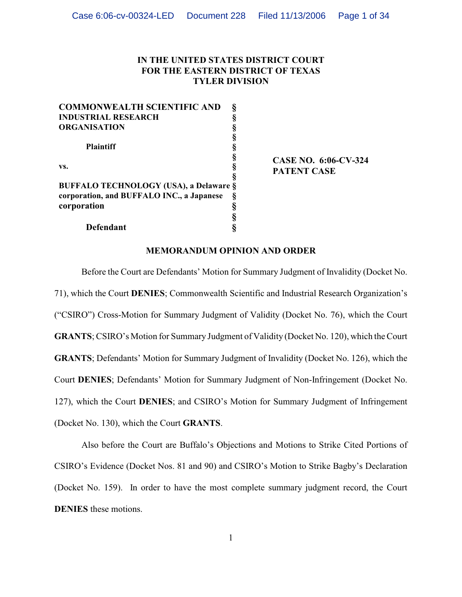# **IN THE UNITED STATES DISTRICT COURT FOR THE EASTERN DISTRICT OF TEXAS TYLER DIVISION**

| <b>COMMONWEALTH SCIENTIFIC AND</b>            |   |
|-----------------------------------------------|---|
| <b>INDUSTRIAL RESEARCH</b>                    |   |
| <b>ORGANISATION</b>                           |   |
|                                               |   |
| <b>Plaintiff</b>                              |   |
|                                               | ş |
| VS.                                           |   |
|                                               |   |
| <b>BUFFALO TECHNOLOGY (USA), a Delaware §</b> |   |
| corporation, and BUFFALO INC., a Japanese     |   |
| corporation                                   |   |
|                                               |   |
| <b>Defendant</b>                              |   |

**CASE NO. 6:06-CV-324 PATENT CASE**

## **MEMORANDUM OPINION AND ORDER**

Before the Court are Defendants' Motion for Summary Judgment of Invalidity (Docket No. 71), which the Court **DENIES**; Commonwealth Scientific and Industrial Research Organization's ("CSIRO") Cross-Motion for Summary Judgment of Validity (Docket No. 76), which the Court **GRANTS**; CSIRO's Motion for Summary Judgment of Validity (Docket No. 120), which the Court **GRANTS**; Defendants' Motion for Summary Judgment of Invalidity (Docket No. 126), which the Court **DENIES**; Defendants' Motion for Summary Judgment of Non-Infringement (Docket No. 127), which the Court **DENIES**; and CSIRO's Motion for Summary Judgment of Infringement (Docket No. 130), which the Court **GRANTS**.

Also before the Court are Buffalo's Objections and Motions to Strike Cited Portions of CSIRO's Evidence (Docket Nos. 81 and 90) and CSIRO's Motion to Strike Bagby's Declaration (Docket No. 159). In order to have the most complete summary judgment record, the Court **DENIES** these motions.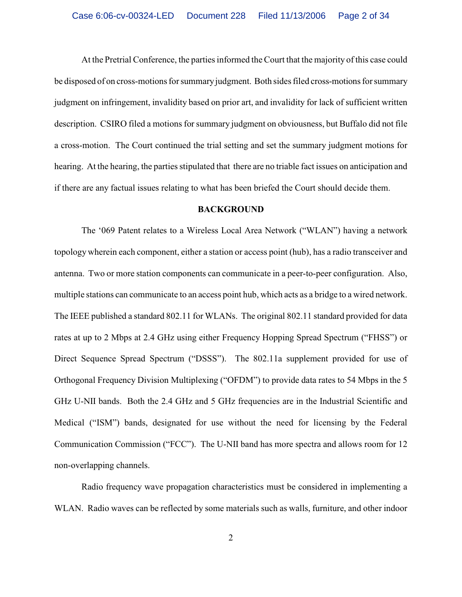At the Pretrial Conference, the parties informed the Court that the majority of this case could be disposed of on cross-motions for summary judgment. Both sides filed cross-motions for summary judgment on infringement, invalidity based on prior art, and invalidity for lack of sufficient written description. CSIRO filed a motions for summary judgment on obviousness, but Buffalo did not file a cross-motion. The Court continued the trial setting and set the summary judgment motions for hearing. At the hearing, the parties stipulated that there are no triable fact issues on anticipation and if there are any factual issues relating to what has been briefed the Court should decide them.

## **BACKGROUND**

The '069 Patent relates to a Wireless Local Area Network ("WLAN") having a network topology wherein each component, either a station or access point (hub), has a radio transceiver and antenna. Two or more station components can communicate in a peer-to-peer configuration. Also, multiple stations can communicate to an access point hub, which acts as a bridge to a wired network. The IEEE published a standard 802.11 for WLANs. The original 802.11 standard provided for data rates at up to 2 Mbps at 2.4 GHz using either Frequency Hopping Spread Spectrum ("FHSS") or Direct Sequence Spread Spectrum ("DSSS"). The 802.11a supplement provided for use of Orthogonal Frequency Division Multiplexing ("OFDM") to provide data rates to 54 Mbps in the 5 GHz U-NII bands. Both the 2.4 GHz and 5 GHz frequencies are in the Industrial Scientific and Medical ("ISM") bands, designated for use without the need for licensing by the Federal Communication Commission ("FCC"). The U-NII band has more spectra and allows room for 12 non-overlapping channels.

Radio frequency wave propagation characteristics must be considered in implementing a WLAN. Radio waves can be reflected by some materials such as walls, furniture, and other indoor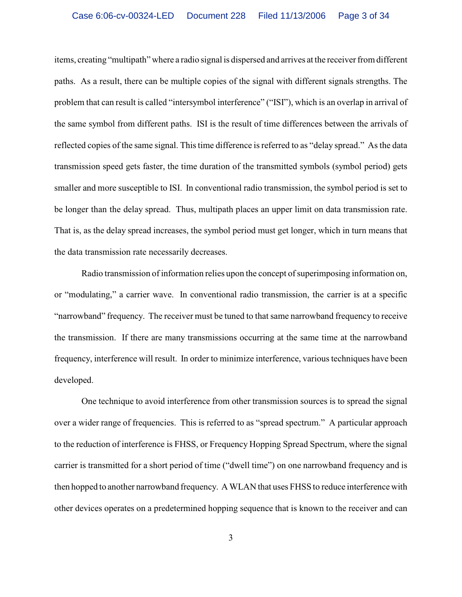items, creating "multipath" where a radio signal is dispersed and arrives at the receiver from different paths. As a result, there can be multiple copies of the signal with different signals strengths. The problem that can result is called "intersymbol interference" ("ISI"), which is an overlap in arrival of the same symbol from different paths. ISI is the result of time differences between the arrivals of reflected copies of the same signal. Thistime difference is referred to as "delay spread." As the data transmission speed gets faster, the time duration of the transmitted symbols (symbol period) gets smaller and more susceptible to ISI. In conventional radio transmission, the symbol period is set to be longer than the delay spread. Thus, multipath places an upper limit on data transmission rate. That is, as the delay spread increases, the symbol period must get longer, which in turn means that the data transmission rate necessarily decreases.

Radio transmission of information relies upon the concept of superimposing information on, or "modulating," a carrier wave. In conventional radio transmission, the carrier is at a specific "narrowband" frequency. The receiver must be tuned to that same narrowband frequency to receive the transmission. If there are many transmissions occurring at the same time at the narrowband frequency, interference will result. In order to minimize interference, various techniques have been developed.

One technique to avoid interference from other transmission sources is to spread the signal over a wider range of frequencies. This is referred to as "spread spectrum." A particular approach to the reduction of interference is FHSS, or Frequency Hopping Spread Spectrum, where the signal carrier is transmitted for a short period of time ("dwell time") on one narrowband frequency and is then hopped to another narrowband frequency. A WLAN that uses FHSS to reduce interference with other devices operates on a predetermined hopping sequence that is known to the receiver and can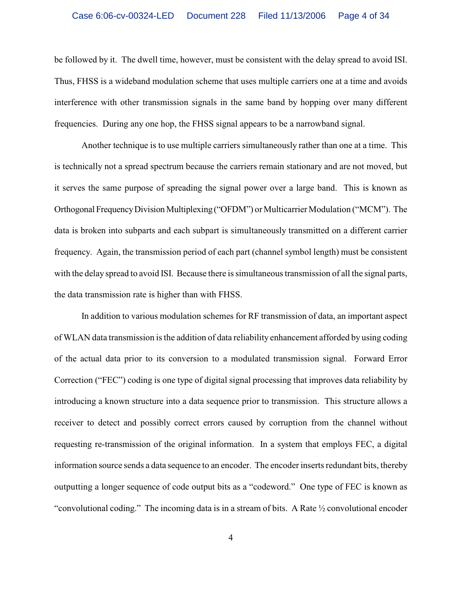be followed by it. The dwell time, however, must be consistent with the delay spread to avoid ISI. Thus, FHSS is a wideband modulation scheme that uses multiple carriers one at a time and avoids interference with other transmission signals in the same band by hopping over many different frequencies. During any one hop, the FHSS signal appears to be a narrowband signal.

Another technique is to use multiple carriers simultaneously rather than one at a time. This is technically not a spread spectrum because the carriers remain stationary and are not moved, but it serves the same purpose of spreading the signal power over a large band. This is known as Orthogonal Frequency Division Multiplexing ("OFDM") or Multicarrier Modulation ("MCM"). The data is broken into subparts and each subpart is simultaneously transmitted on a different carrier frequency. Again, the transmission period of each part (channel symbol length) must be consistent with the delay spread to avoid ISI. Because there is simultaneous transmission of all the signal parts, the data transmission rate is higher than with FHSS.

In addition to various modulation schemes for RF transmission of data, an important aspect of WLAN data transmission is the addition of data reliability enhancement afforded by using coding of the actual data prior to its conversion to a modulated transmission signal. Forward Error Correction ("FEC") coding is one type of digital signal processing that improves data reliability by introducing a known structure into a data sequence prior to transmission. This structure allows a receiver to detect and possibly correct errors caused by corruption from the channel without requesting re-transmission of the original information. In a system that employs FEC, a digital information source sends a data sequence to an encoder. The encoder inserts redundant bits, thereby outputting a longer sequence of code output bits as a "codeword." One type of FEC is known as "convolutional coding." The incoming data is in a stream of bits. A Rate  $\frac{1}{2}$  convolutional encoder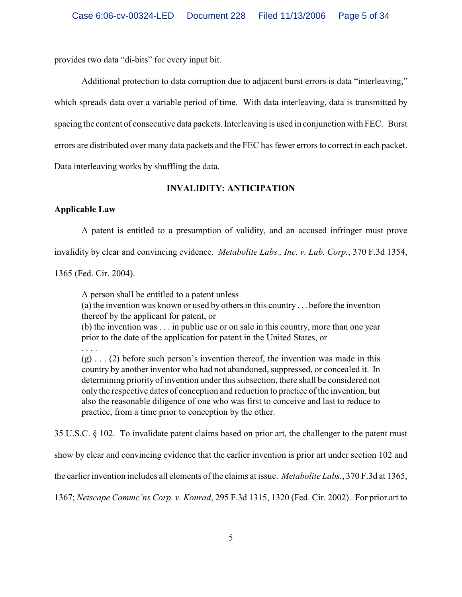provides two data "di-bits" for every input bit.

Additional protection to data corruption due to adjacent burst errors is data "interleaving," which spreads data over a variable period of time. With data interleaving, data is transmitted by spacing the content of consecutive data packets. Interleaving is used in conjunction with FEC. Burst errors are distributed over many data packets and the FEC has fewer errors to correct in each packet. Data interleaving works by shuffling the data.

# **INVALIDITY: ANTICIPATION**

# **Applicable Law**

A patent is entitled to a presumption of validity, and an accused infringer must prove

invalidity by clear and convincing evidence. *Metabolite Labs., Inc. v. Lab. Corp.*, 370 F.3d 1354,

1365 (Fed. Cir. 2004).

A person shall be entitled to a patent unless–

(a) the invention was known or used by others in this country . . . before the invention thereof by the applicant for patent, or

(b) the invention was . . . in public use or on sale in this country, more than one year prior to the date of the application for patent in the United States, or

. . . .

 $(g) \ldots (2)$  before such person's invention thereof, the invention was made in this country by another inventor who had not abandoned, suppressed, or concealed it. In determining priority of invention under this subsection, there shall be considered not only the respective dates of conception and reduction to practice of the invention, but also the reasonable diligence of one who was first to conceive and last to reduce to practice, from a time prior to conception by the other.

35 U.S.C. § 102. To invalidate patent claims based on prior art, the challenger to the patent must

show by clear and convincing evidence that the earlier invention is prior art under section 102 and

the earlier invention includes all elements of the claims at issue. *Metabolite Labs.*, 370 F.3d at 1365,

1367; *Netscape Commc'ns Corp. v. Konrad*, 295 F.3d 1315, 1320 (Fed. Cir. 2002). For prior art to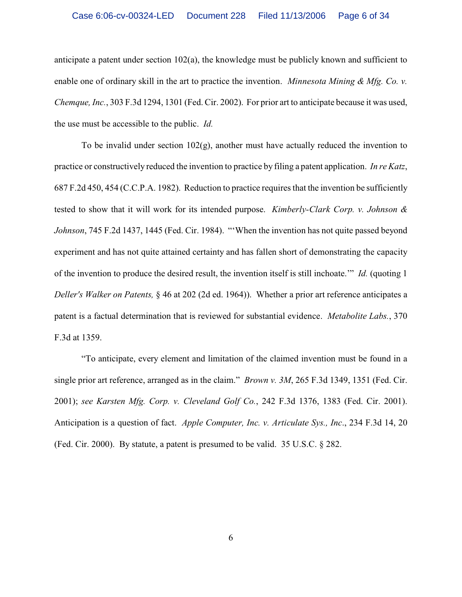anticipate a patent under section 102(a), the knowledge must be publicly known and sufficient to enable one of ordinary skill in the art to practice the invention. *Minnesota Mining & Mfg. Co. v. Chemque, Inc.*, 303 F.3d 1294, 1301 (Fed. Cir. 2002). For prior art to anticipate because it was used, the use must be accessible to the public. *Id.*

To be invalid under section  $102(g)$ , another must have actually reduced the invention to practice or constructively reduced the invention to practice by filing a patent application. *In re Katz*, 687 F.2d 450, 454 (C.C.P.A. 1982). Reduction to practice requires that the invention be sufficiently tested to show that it will work for its intended purpose. *Kimberly-Clark Corp. v. Johnson & Johnson*, 745 F.2d 1437, 1445 (Fed. Cir. 1984). "'When the invention has not quite passed beyond experiment and has not quite attained certainty and has fallen short of demonstrating the capacity of the invention to produce the desired result, the invention itself is still inchoate.'" *Id.* (quoting 1 *Deller's Walker on Patents,* § 46 at 202 (2d ed. 1964)). Whether a prior art reference anticipates a patent is a factual determination that is reviewed for substantial evidence. *Metabolite Labs.*, 370 F.3d at 1359.

"To anticipate, every element and limitation of the claimed invention must be found in a single prior art reference, arranged as in the claim." *Brown v. 3M*, 265 F.3d 1349, 1351 (Fed. Cir. 2001); *see Karsten Mfg. Corp. v. Cleveland Golf Co.*, 242 F.3d 1376, 1383 (Fed. Cir. 2001). Anticipation is a question of fact. *Apple Computer, Inc. v. Articulate Sys., Inc*., 234 F.3d 14, 20 (Fed. Cir. 2000). By statute, a patent is presumed to be valid. 35 U.S.C. § 282.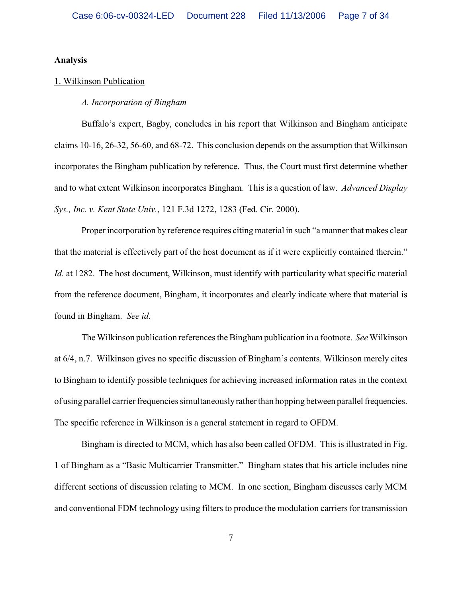### **Analysis**

## 1. Wilkinson Publication

## *A. Incorporation of Bingham*

Buffalo's expert, Bagby, concludes in his report that Wilkinson and Bingham anticipate claims 10-16, 26-32, 56-60, and 68-72. This conclusion depends on the assumption that Wilkinson incorporates the Bingham publication by reference. Thus, the Court must first determine whether and to what extent Wilkinson incorporates Bingham. This is a question of law. *Advanced Display Sys., Inc. v. Kent State Univ.*, 121 F.3d 1272, 1283 (Fed. Cir. 2000).

Proper incorporation by reference requires citing material in such "a manner that makes clear that the material is effectively part of the host document as if it were explicitly contained therein." *Id.* at 1282. The host document, Wilkinson, must identify with particularity what specific material from the reference document, Bingham, it incorporates and clearly indicate where that material is found in Bingham. *See id*.

The Wilkinson publication references the Bingham publication in a footnote. *See* Wilkinson at 6/4, n.7. Wilkinson gives no specific discussion of Bingham's contents. Wilkinson merely cites to Bingham to identify possible techniques for achieving increased information rates in the context of using parallel carrier frequencies simultaneously rather than hopping between parallel frequencies. The specific reference in Wilkinson is a general statement in regard to OFDM.

Bingham is directed to MCM, which has also been called OFDM. This is illustrated in Fig. 1 of Bingham as a "Basic Multicarrier Transmitter." Bingham states that his article includes nine different sections of discussion relating to MCM. In one section, Bingham discusses early MCM and conventional FDM technology using filters to produce the modulation carriers for transmission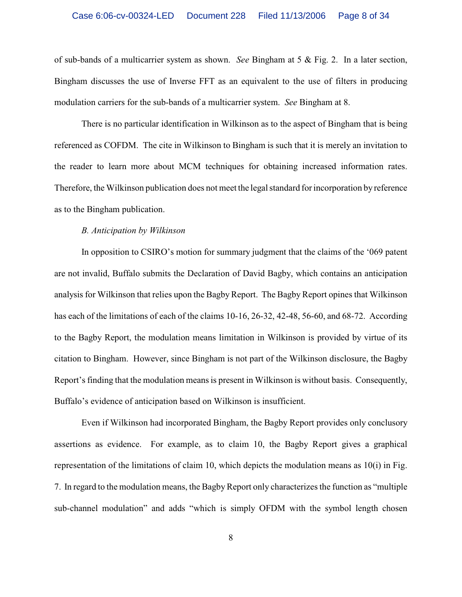of sub-bands of a multicarrier system as shown. *See* Bingham at 5 & Fig. 2. In a later section, Bingham discusses the use of Inverse FFT as an equivalent to the use of filters in producing modulation carriers for the sub-bands of a multicarrier system. *See* Bingham at 8.

There is no particular identification in Wilkinson as to the aspect of Bingham that is being referenced as COFDM. The cite in Wilkinson to Bingham is such that it is merely an invitation to the reader to learn more about MCM techniques for obtaining increased information rates. Therefore, the Wilkinson publication does not meet the legal standard for incorporation by reference as to the Bingham publication.

### *B. Anticipation by Wilkinson*

In opposition to CSIRO's motion for summary judgment that the claims of the '069 patent are not invalid, Buffalo submits the Declaration of David Bagby, which contains an anticipation analysis for Wilkinson that relies upon the Bagby Report. The Bagby Report opines that Wilkinson has each of the limitations of each of the claims 10-16, 26-32, 42-48, 56-60, and 68-72. According to the Bagby Report, the modulation means limitation in Wilkinson is provided by virtue of its citation to Bingham. However, since Bingham is not part of the Wilkinson disclosure, the Bagby Report's finding that the modulation meansis present in Wilkinson is without basis. Consequently, Buffalo's evidence of anticipation based on Wilkinson is insufficient.

Even if Wilkinson had incorporated Bingham, the Bagby Report provides only conclusory assertions as evidence. For example, as to claim 10, the Bagby Report gives a graphical representation of the limitations of claim 10, which depicts the modulation means as 10(i) in Fig. 7. In regard to the modulation means, the BagbyReport only characterizesthe function as "multiple sub-channel modulation" and adds "which is simply OFDM with the symbol length chosen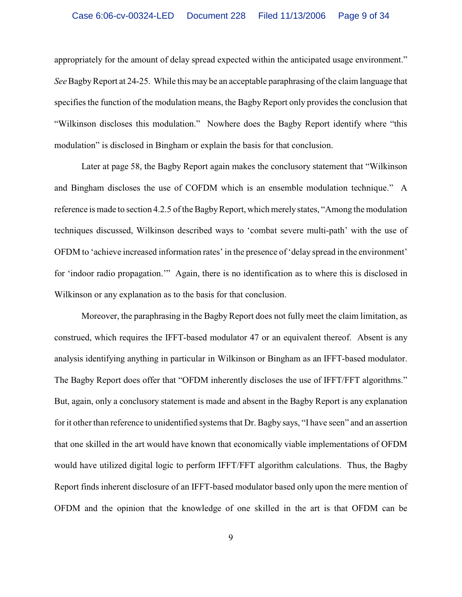appropriately for the amount of delay spread expected within the anticipated usage environment." *See*Bagby Report at 24-25. While this may be an acceptable paraphrasing of the claim language that specifies the function of the modulation means, the Bagby Report only provides the conclusion that "Wilkinson discloses this modulation." Nowhere does the Bagby Report identify where "this modulation" is disclosed in Bingham or explain the basis for that conclusion.

Later at page 58, the Bagby Report again makes the conclusory statement that "Wilkinson and Bingham discloses the use of COFDM which is an ensemble modulation technique." A reference is made to section 4.2.5 of the Bagby Report, which merely states, "Among the modulation techniques discussed, Wilkinson described ways to 'combat severe multi-path' with the use of OFDM to 'achieve increased information rates' in the presence of 'delay spread in the environment' for 'indoor radio propagation.'" Again, there is no identification as to where this is disclosed in Wilkinson or any explanation as to the basis for that conclusion.

Moreover, the paraphrasing in the Bagby Report does not fully meet the claim limitation, as construed, which requires the IFFT-based modulator 47 or an equivalent thereof. Absent is any analysis identifying anything in particular in Wilkinson or Bingham as an IFFT-based modulator. The Bagby Report does offer that "OFDM inherently discloses the use of IFFT/FFT algorithms." But, again, only a conclusory statement is made and absent in the Bagby Report is any explanation for it other than reference to unidentified systems that Dr. Bagby says, "I have seen" and an assertion that one skilled in the art would have known that economically viable implementations of OFDM would have utilized digital logic to perform IFFT/FFT algorithm calculations. Thus, the Bagby Report finds inherent disclosure of an IFFT-based modulator based only upon the mere mention of OFDM and the opinion that the knowledge of one skilled in the art is that OFDM can be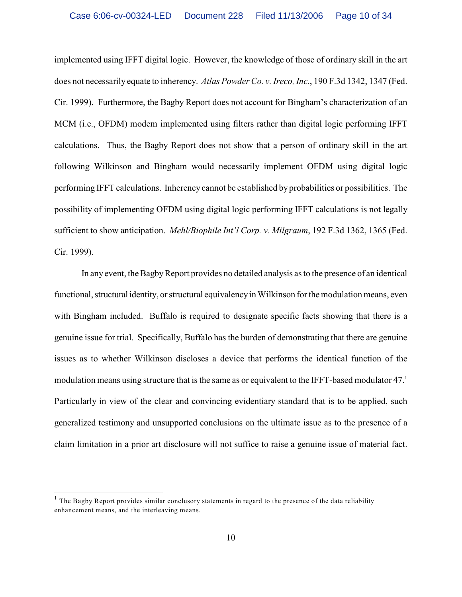implemented using IFFT digital logic. However, the knowledge of those of ordinary skill in the art does not necessarily equate to inherency. *Atlas Powder Co. v. Ireco, Inc.*, 190 F.3d 1342, 1347 (Fed. Cir. 1999). Furthermore, the Bagby Report does not account for Bingham's characterization of an MCM (i.e., OFDM) modem implemented using filters rather than digital logic performing IFFT calculations. Thus, the Bagby Report does not show that a person of ordinary skill in the art following Wilkinson and Bingham would necessarily implement OFDM using digital logic performing IFFT calculations. Inherency cannot be established by probabilities or possibilities. The possibility of implementing OFDM using digital logic performing IFFT calculations is not legally sufficient to show anticipation. *Mehl/Biophile Int'l Corp. v. Milgraum*, 192 F.3d 1362, 1365 (Fed. Cir. 1999).

In any event, the Bagby Report provides no detailed analysis as to the presence of an identical functional, structural identity, or structural equivalency in Wilkinson for the modulation means, even with Bingham included. Buffalo is required to designate specific facts showing that there is a genuine issue for trial. Specifically, Buffalo has the burden of demonstrating that there are genuine issues as to whether Wilkinson discloses a device that performs the identical function of the modulation means using structure that is the same as or equivalent to the IFFT-based modulator 47.<sup>1</sup> Particularly in view of the clear and convincing evidentiary standard that is to be applied, such generalized testimony and unsupported conclusions on the ultimate issue as to the presence of a claim limitation in a prior art disclosure will not suffice to raise a genuine issue of material fact.

 $<sup>1</sup>$  The Bagby Report provides similar conclusory statements in regard to the presence of the data reliability</sup> enhancement means, and the interleaving means.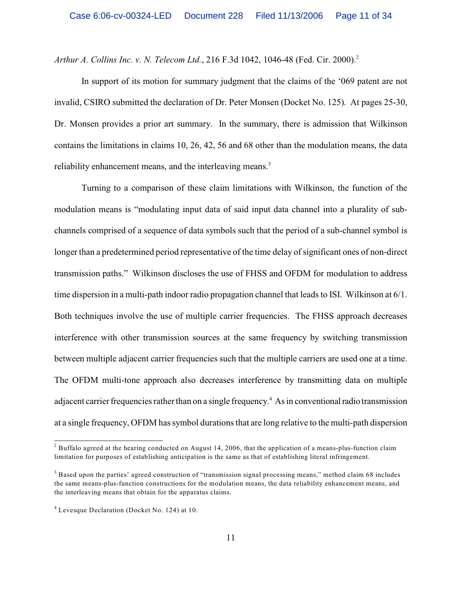*Arthur A. Collins Inc. v. N. Telecom Ltd.*, 216 F.3d 1042, 1046-48 (Fed. Cir. 2000).<sup>2</sup>

In support of its motion for summary judgment that the claims of the '069 patent are not invalid, CSIRO submitted the declaration of Dr. Peter Monsen (Docket No. 125). At pages 25-30, Dr. Monsen provides a prior art summary. In the summary, there is admission that Wilkinson contains the limitations in claims 10, 26, 42, 56 and 68 other than the modulation means, the data reliability enhancement means, and the interleaving means.<sup>3</sup>

Turning to a comparison of these claim limitations with Wilkinson, the function of the modulation means is "modulating input data of said input data channel into a plurality of subchannels comprised of a sequence of data symbols such that the period of a sub-channel symbol is longer than a predetermined period representative of the time delay of significant ones of non-direct transmission paths." Wilkinson discloses the use of FHSS and OFDM for modulation to address time dispersion in a multi-path indoor radio propagation channel that leads to ISI. Wilkinson at 6/1. Both techniques involve the use of multiple carrier frequencies. The FHSS approach decreases interference with other transmission sources at the same frequency by switching transmission between multiple adjacent carrier frequencies such that the multiple carriers are used one at a time. The OFDM multi-tone approach also decreases interference by transmitting data on multiple adjacent carrier frequencies rather than on a single frequency.<sup>4</sup> As in conventional radio transmission at a single frequency, OFDM has symbol durations that are long relative to the multi-path dispersion

<sup>&</sup>lt;sup>2</sup> Buffalo agreed at the hearing conducted on August 14, 2006, that the application of a means-plus-function claim limitation for purposes of establishing anticipation is the same as that of establishing literal infringement.

 $3$  Based upon the parties' agreed construction of "transmission signal processing means," method claim 68 includes the same means-plus-function constructions for the modulation means, the data reliability enhancement means, and the interleaving means that obtain for the apparatus claims.

Levesque Declaration (Docket No. 124) at 10. <sup>4</sup>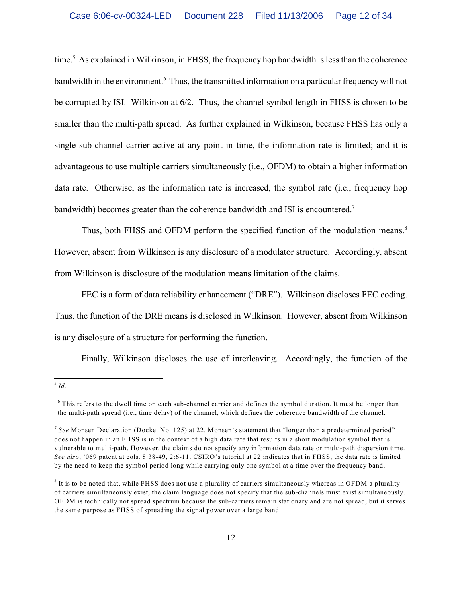time.<sup>5</sup> As explained in Wilkinson, in FHSS, the frequency hop bandwidth is less than the coherence bandwidth in the environment.<sup>6</sup> Thus, the transmitted information on a particular frequency will not be corrupted by ISI. Wilkinson at 6/2. Thus, the channel symbol length in FHSS is chosen to be smaller than the multi-path spread. As further explained in Wilkinson, because FHSS has only a single sub-channel carrier active at any point in time, the information rate is limited; and it is advantageous to use multiple carriers simultaneously (i.e., OFDM) to obtain a higher information data rate. Otherwise, as the information rate is increased, the symbol rate (i.e., frequency hop bandwidth) becomes greater than the coherence bandwidth and ISI is encountered.<sup>7</sup>

Thus, both FHSS and OFDM perform the specified function of the modulation means.<sup>8</sup> However, absent from Wilkinson is any disclosure of a modulator structure. Accordingly, absent from Wilkinson is disclosure of the modulation means limitation of the claims.

FEC is a form of data reliability enhancement ("DRE"). Wilkinson discloses FEC coding. Thus, the function of the DRE means is disclosed in Wilkinson. However, absent from Wilkinson is any disclosure of a structure for performing the function.

Finally, Wilkinson discloses the use of interleaving. Accordingly, the function of the

 $\frac{5}{1}$  *Id.* 

 $6$  This refers to the dwell time on each sub-channel carrier and defines the symbol duration. It must be longer than the multi-path spread (i.e., time delay) of the channel, which defines the coherence bandwidth of the channel.

<sup>&</sup>lt;sup>7</sup> See Monsen Declaration (Docket No. 125) at 22. Monsen's statement that "longer than a predetermined period" does not happen in an FHSS is in the context of a high data rate that results in a short modulation symbol that is vulnerable to multi-path. However, the claims do not specify any information data rate or multi-path dispersion time. *See also*, '069 patent at cols. 8:38-49, 2:6-11. CSIRO's tutorial at 22 indicates that in FHSS, the data rate is limited by the need to keep the symbol period long while carrying only one symbol at a time over the frequency band.

 $8$  It is to be noted that, while FHSS does not use a plurality of carriers simultaneously whereas in OFDM a plurality of carriers simultaneously exist, the claim language does not specify that the sub-channels must exist simultaneously. OFDM is technically not spread spectrum because the sub-carriers remain stationary and are not spread, but it serves the same purpose as FHSS of spreading the signal power over a large band.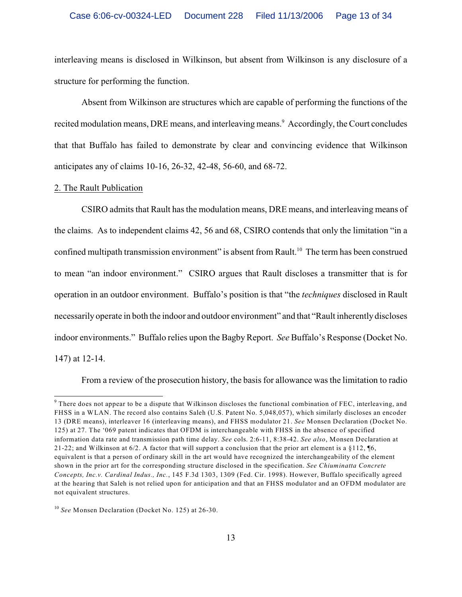## Case 6:06-cv-00324-LED Document 228 Filed 11/13/2006 Page 13 of 34

interleaving means is disclosed in Wilkinson, but absent from Wilkinson is any disclosure of a structure for performing the function.

Absent from Wilkinson are structures which are capable of performing the functions of the recited modulation means, DRE means, and interleaving means.<sup>9</sup> Accordingly, the Court concludes that that Buffalo has failed to demonstrate by clear and convincing evidence that Wilkinson anticipates any of claims 10-16, 26-32, 42-48, 56-60, and 68-72.

### 2. The Rault Publication

CSIRO admits that Rault has the modulation means, DRE means, and interleaving means of the claims. As to independent claims 42, 56 and 68, CSIRO contends that only the limitation "in a confined multipath transmission environment" is absent from Rault.<sup>10</sup> The term has been construed to mean "an indoor environment." CSIRO argues that Rault discloses a transmitter that is for operation in an outdoor environment. Buffalo's position is that "the *techniques* disclosed in Rault necessarily operate in both the indoor and outdoor environment" and that "Rault inherently discloses indoor environments." Buffalo relies upon the Bagby Report. *See* Buffalo's Response (Docket No. 147) at 12-14.

From a review of the prosecution history, the basis for allowance was the limitation to radio

<sup>&</sup>lt;sup>9</sup> There does not appear to be a dispute that Wilkinson discloses the functional combination of FEC, interleaving, and FHSS in a WLAN. The record also contains Saleh (U.S. Patent No. 5,048,057), which similarly discloses an encoder 13 (DRE means), interleaver 16 (interleaving means), and FHSS modulator 21. *See* Monsen Declaration (Docket No. 125) at 27. The '069 patent indicates that OFDM is interchangeable with FHSS in the absence of specified information data rate and transmission path time delay. *See* cols. 2:6-11, 8:38-42. *See also*, Monsen Declaration at 21-22; and Wilkinson at 6/2. A factor that will support a conclusion that the prior art element is a §112, ¶6, equivalent is that a person of ordinary skill in the art would have recognized the interchangeability of the element shown in the prior art for the corresponding structure disclosed in the specification. *See Chiuminatta Concrete Concepts, Inc.v. Cardinal Indus., Inc.*, 145 F.3d 1303, 1309 (Fed. Cir. 1998). However, Buffalo specifically agreed at the hearing that Saleh is not relied upon for anticipation and that an FHSS modulator and an OFDM modulator are not equivalent structures.

<sup>&</sup>lt;sup>10</sup> See Monsen Declaration (Docket No. 125) at 26-30.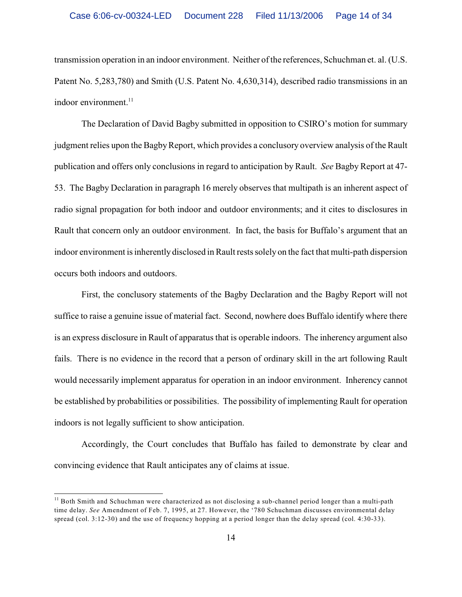transmission operation in an indoor environment. Neither ofthe references, Schuchman et. al. (U.S. Patent No. 5,283,780) and Smith (U.S. Patent No. 4,630,314), described radio transmissions in an indoor environment.<sup>11</sup>

The Declaration of David Bagby submitted in opposition to CSIRO's motion for summary judgment relies upon the Bagby Report, which provides a conclusory overview analysis of the Rault publication and offers only conclusions in regard to anticipation by Rault. *See* Bagby Report at 47- 53. The Bagby Declaration in paragraph 16 merely observes that multipath is an inherent aspect of radio signal propagation for both indoor and outdoor environments; and it cites to disclosures in Rault that concern only an outdoor environment. In fact, the basis for Buffalo's argument that an indoor environment is inherently disclosed in Rault rests solely on the fact that multi-path dispersion occurs both indoors and outdoors.

First, the conclusory statements of the Bagby Declaration and the Bagby Report will not suffice to raise a genuine issue of material fact. Second, nowhere does Buffalo identify where there is an express disclosure in Rault of apparatus that is operable indoors. The inherency argument also fails. There is no evidence in the record that a person of ordinary skill in the art following Rault would necessarily implement apparatus for operation in an indoor environment. Inherency cannot be established by probabilities or possibilities. The possibility of implementing Rault for operation indoors is not legally sufficient to show anticipation.

Accordingly, the Court concludes that Buffalo has failed to demonstrate by clear and convincing evidence that Rault anticipates any of claims at issue.

 $11$  Both Smith and Schuchman were characterized as not disclosing a sub-channel period longer than a multi-path time delay. *See* Amendment of Feb. 7, 1995, at 27. However, the '780 Schuchman discusses environmental delay spread (col. 3:12-30) and the use of frequency hopping at a period longer than the delay spread (col. 4:30-33).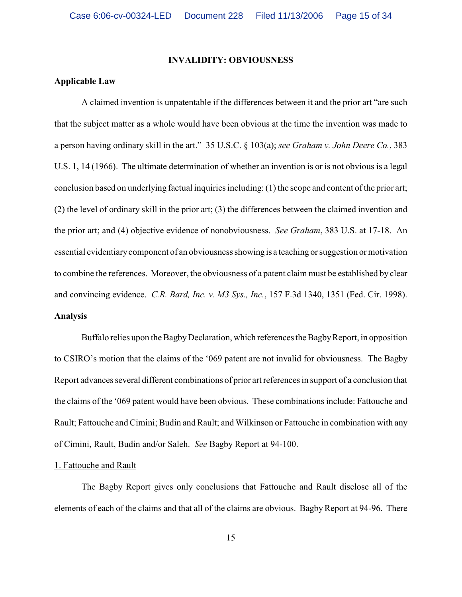## **INVALIDITY: OBVIOUSNESS**

## **Applicable Law**

A claimed invention is unpatentable if the differences between it and the prior art "are such that the subject matter as a whole would have been obvious at the time the invention was made to a person having ordinary skill in the art." 35 U.S.C. § 103(a); *see Graham v. John Deere Co.*, 383 U.S. 1, 14 (1966). The ultimate determination of whether an invention is or is not obvious is a legal conclusion based on underlying factual inquiries including:  $(1)$  the scope and content of the prior art; (2) the level of ordinary skill in the prior art; (3) the differences between the claimed invention and the prior art; and (4) objective evidence of nonobviousness. *See Graham*, 383 U.S. at 17-18. An essential evidentiary component of an obviousness showing is a teaching or suggestion or motivation to combine the references. Moreover, the obviousness of a patent claim must be established by clear and convincing evidence. *C.R. Bard, Inc. v. M3 Sys., Inc.*, 157 F.3d 1340, 1351 (Fed. Cir. 1998). **Analysis**

Buffalo relies upon the BagbyDeclaration, which references the Bagby Report, in opposition to CSIRO's motion that the claims of the '069 patent are not invalid for obviousness. The Bagby Report advances several different combinations of prior art references in support of a conclusion that the claims of the '069 patent would have been obvious. These combinations include: Fattouche and Rault; Fattouche and Cimini; Budin and Rault; and Wilkinson or Fattouche in combination with any of Cimini, Rault, Budin and/or Saleh. *See* Bagby Report at 94-100.

### 1. Fattouche and Rault

The Bagby Report gives only conclusions that Fattouche and Rault disclose all of the elements of each of the claims and that all of the claims are obvious. Bagby Report at 94-96. There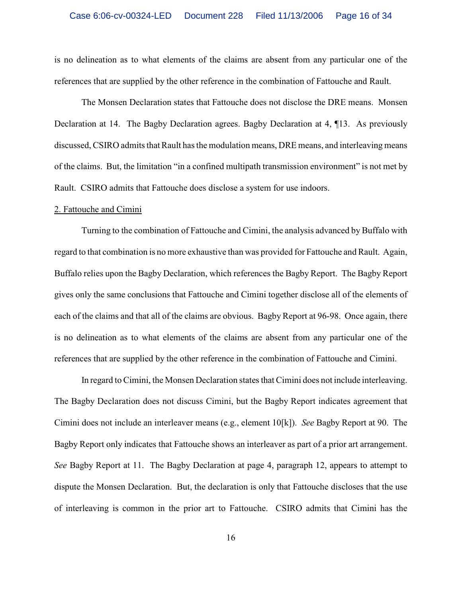is no delineation as to what elements of the claims are absent from any particular one of the references that are supplied by the other reference in the combination of Fattouche and Rault.

The Monsen Declaration states that Fattouche does not disclose the DRE means. Monsen Declaration at 14. The Bagby Declaration agrees. Bagby Declaration at 4, ¶13. As previously discussed, CSIRO admits that Rault has the modulation means, DRE means, and interleaving means of the claims. But, the limitation "in a confined multipath transmission environment" is not met by Rault. CSIRO admits that Fattouche does disclose a system for use indoors.

#### 2. Fattouche and Cimini

Turning to the combination of Fattouche and Cimini, the analysis advanced by Buffalo with regard to that combination is no more exhaustive than was provided for Fattouche and Rault. Again, Buffalo relies upon the Bagby Declaration, which references the Bagby Report. The Bagby Report gives only the same conclusions that Fattouche and Cimini together disclose all of the elements of each of the claims and that all of the claims are obvious. Bagby Report at 96-98. Once again, there is no delineation as to what elements of the claims are absent from any particular one of the references that are supplied by the other reference in the combination of Fattouche and Cimini.

In regard to Cimini, the Monsen Declaration states that Cimini does not include interleaving. The Bagby Declaration does not discuss Cimini, but the Bagby Report indicates agreement that Cimini does not include an interleaver means (e.g., element 10[k]). *See* Bagby Report at 90. The Bagby Report only indicates that Fattouche shows an interleaver as part of a prior art arrangement. *See* Bagby Report at 11. The Bagby Declaration at page 4, paragraph 12, appears to attempt to dispute the Monsen Declaration. But, the declaration is only that Fattouche discloses that the use of interleaving is common in the prior art to Fattouche. CSIRO admits that Cimini has the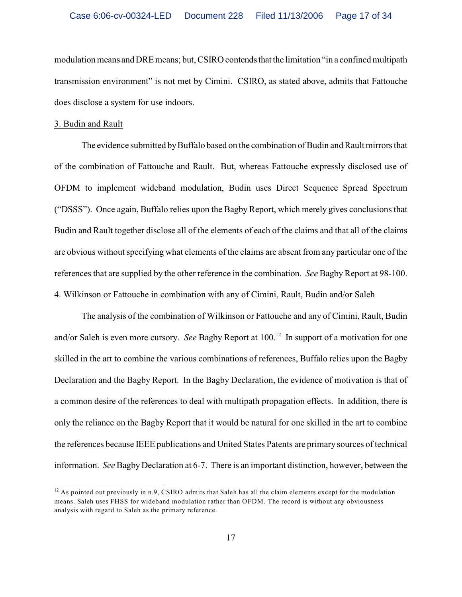modulation means and DRE means; but, CSIRO contends that the limitation "in a confined multipath transmission environment" is not met by Cimini. CSIRO, as stated above, admits that Fattouche does disclose a system for use indoors.

## 3. Budin and Rault

The evidence submitted by Buffalo based on the combination of Budin and Rault mirrors that of the combination of Fattouche and Rault. But, whereas Fattouche expressly disclosed use of OFDM to implement wideband modulation, Budin uses Direct Sequence Spread Spectrum ("DSSS"). Once again, Buffalo relies upon the Bagby Report, which merely gives conclusions that Budin and Rault together disclose all of the elements of each of the claims and that all of the claims are obvious without specifying what elements of the claims are absent from any particular one of the references that are supplied by the other reference in the combination. *See* Bagby Report at 98-100. 4. Wilkinson or Fattouche in combination with any of Cimini, Rault, Budin and/or Saleh

The analysis of the combination of Wilkinson or Fattouche and any of Cimini, Rault, Budin and/or Saleh is even more cursory. *See* Bagby Report at 100.<sup>12</sup> In support of a motivation for one skilled in the art to combine the various combinations of references, Buffalo relies upon the Bagby Declaration and the Bagby Report. In the Bagby Declaration, the evidence of motivation is that of a common desire of the references to deal with multipath propagation effects. In addition, there is only the reliance on the Bagby Report that it would be natural for one skilled in the art to combine the references because IEEE publications and United States Patents are primary sources of technical information. *See* BagbyDeclaration at 6-7. There is an important distinction, however, between the

 $12$  As pointed out previously in n.9, CSIRO admits that Saleh has all the claim elements except for the modulation means. Saleh uses FHSS for wideband modulation rather than OFDM. The record is without any obviousness analysis with regard to Saleh as the primary reference.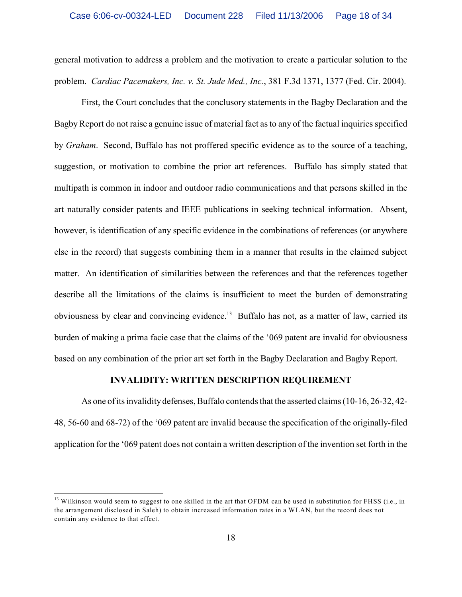general motivation to address a problem and the motivation to create a particular solution to the problem. *Cardiac Pacemakers, Inc. v. St. Jude Med., Inc.*, 381 F.3d 1371, 1377 (Fed. Cir. 2004).

First, the Court concludes that the conclusory statements in the Bagby Declaration and the Bagby Report do not raise a genuine issue of material fact as to any of the factual inquiries specified by *Graham*. Second, Buffalo has not proffered specific evidence as to the source of a teaching, suggestion, or motivation to combine the prior art references. Buffalo has simply stated that multipath is common in indoor and outdoor radio communications and that persons skilled in the art naturally consider patents and IEEE publications in seeking technical information. Absent, however, is identification of any specific evidence in the combinations of references (or anywhere else in the record) that suggests combining them in a manner that results in the claimed subject matter. An identification of similarities between the references and that the references together describe all the limitations of the claims is insufficient to meet the burden of demonstrating obviousness by clear and convincing evidence.<sup>13</sup> Buffalo has not, as a matter of law, carried its burden of making a prima facie case that the claims of the '069 patent are invalid for obviousness based on any combination of the prior art set forth in the Bagby Declaration and Bagby Report.

### **INVALIDITY: WRITTEN DESCRIPTION REQUIREMENT**

As one of its invalidity defenses, Buffalo contends that the asserted claims (10-16, 26-32, 42- 48, 56-60 and 68-72) of the '069 patent are invalid because the specification of the originally-filed application for the '069 patent does not contain a written description of the invention set forth in the

 $13$  Wilkinson would seem to suggest to one skilled in the art that OFDM can be used in substitution for FHSS (i.e., in the arrangement disclosed in Saleh) to obtain increased information rates in a WLAN, but the record does not contain any evidence to that effect.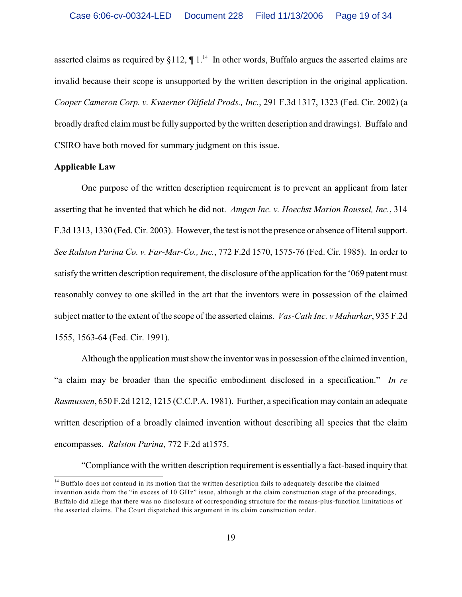asserted claims as required by  $\S112$ ,  $\P1^{14}$  In other words, Buffalo argues the asserted claims are invalid because their scope is unsupported by the written description in the original application. *Cooper Cameron Corp. v. Kvaerner Oilfield Prods., Inc.*, 291 F.3d 1317, 1323 (Fed. Cir. 2002) (a broadly drafted claim must be fully supported by the written description and drawings). Buffalo and CSIRO have both moved for summary judgment on this issue.

## **Applicable Law**

One purpose of the written description requirement is to prevent an applicant from later asserting that he invented that which he did not. *Amgen Inc. v. Hoechst Marion Roussel, Inc.*, 314 F.3d 1313, 1330 (Fed. Cir. 2003). However, the test is not the presence or absence of literal support. *See Ralston Purina Co. v. Far-Mar-Co., Inc.*, 772 F.2d 1570, 1575-76 (Fed. Cir. 1985). In order to satisfy the written description requirement, the disclosure of the application for the '069 patent must reasonably convey to one skilled in the art that the inventors were in possession of the claimed subject matter to the extent of the scope of the asserted claims. *Vas-Cath Inc. v Mahurkar*, 935 F.2d 1555, 1563-64 (Fed. Cir. 1991).

Although the application must show the inventor was in possession of the claimed invention, "a claim may be broader than the specific embodiment disclosed in a specification." *In re Rasmussen*, 650 F.2d 1212, 1215 (C.C.P.A. 1981). Further, a specification may contain an adequate written description of a broadly claimed invention without describing all species that the claim encompasses. *Ralston Purina*, 772 F.2d at1575.

"Compliance with the written description requirement is essentially a fact-based inquiry that

 $14$  Buffalo does not contend in its motion that the written description fails to adequately describe the claimed invention aside from the "in excess of 10 GHz" issue, although at the claim construction stage of the proceedings, Buffalo did allege that there was no disclosure of corresponding structure for the means-plus-function limitations of the asserted claims. The Court dispatched this argument in its claim construction order.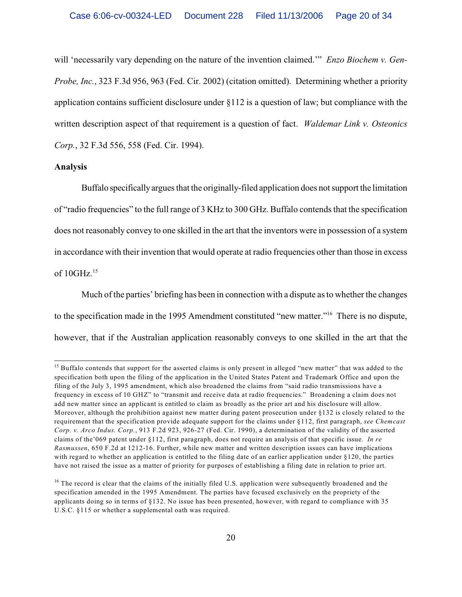will 'necessarily vary depending on the nature of the invention claimed.'" *Enzo Biochem v. Gen-Probe, Inc.*, 323 F.3d 956, 963 (Fed. Cir. 2002) (citation omitted). Determining whether a priority application contains sufficient disclosure under §112 is a question of law; but compliance with the written description aspect of that requirement is a question of fact. *Waldemar Link v. Osteonics Corp.*, 32 F.3d 556, 558 (Fed. Cir. 1994).

## **Analysis**

Buffalo specifically argues that the originally-filed application does not support the limitation of "radio frequencies" to the full range of 3 KHz to 300 GHz. Buffalo contends that the specification does not reasonably convey to one skilled in the art that the inventors were in possession of a system in accordance with their invention that would operate at radio frequencies other than those in excess of 10GHz.<sup>15</sup>

Much of the parties' briefing has been in connection with a dispute as to whether the changes to the specification made in the 1995 Amendment constituted "new matter."<sup>16</sup> There is no dispute, however, that if the Australian application reasonably conveys to one skilled in the art that the

 $<sup>15</sup>$  Buffalo contends that support for the asserted claims is only present in alleged "new matter" that was added to the</sup> specification both upon the filing of the application in the United States Patent and Trademark Office and upon the filing of the July 3, 1995 amendment, which also broadened the claims from "said radio transmissions have a frequency in excess of 10 GHZ" to "transmit and receive data at radio frequencies." Broadening a claim does not add new matter since an applicant is entitled to claim as broadly as the prior art and his disclosure will allow. Moreover, although the prohibition against new matter during patent prosecution under §132 is closely related to the requirement that the specification provide adequate support for the claims under §112, first paragraph, *see Chemcast Corp. v. Arco Indus. Corp.*, 913 F.2d 923, 926-27 (Fed. Cir. 1990), a determination of the validity of the asserted claims of the'069 patent under §112, first paragraph, does not require an analysis of that specific issue. *In re Rasmussen*, 650 F.2d at 1212-16. Further, while new matter and written description issues can have implications with regard to whether an application is entitled to the filing date of an earlier application under §120, the parties have not raised the issue as a matter of priority for purposes of establishing a filing date in relation to prior art.

 $16$  The record is clear that the claims of the initially filed U.S. application were subsequently broadened and the specification amended in the 1995 Amendment. The parties have focused exclusively on the propriety of the applicants doing so in terms of §132. No issue has been presented, however, with regard to compliance with 35 U.S.C. §115 or whether a supplemental oath was required.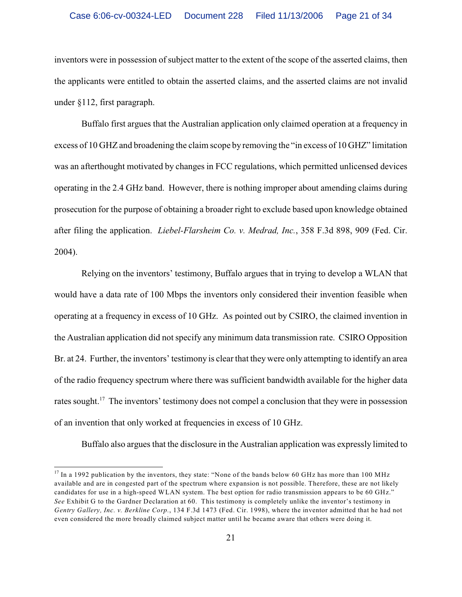inventors were in possession of subject matter to the extent of the scope of the asserted claims, then the applicants were entitled to obtain the asserted claims, and the asserted claims are not invalid under §112, first paragraph.

Buffalo first argues that the Australian application only claimed operation at a frequency in excess of 10 GHZ and broadening the claim scope by removing the "in excess of 10 GHZ" limitation was an afterthought motivated by changes in FCC regulations, which permitted unlicensed devices operating in the 2.4 GHz band. However, there is nothing improper about amending claims during prosecution for the purpose of obtaining a broader right to exclude based upon knowledge obtained after filing the application. *Liebel-Flarsheim Co. v. Medrad, Inc.*, 358 F.3d 898, 909 (Fed. Cir. 2004).

Relying on the inventors' testimony, Buffalo argues that in trying to develop a WLAN that would have a data rate of 100 Mbps the inventors only considered their invention feasible when operating at a frequency in excess of 10 GHz. As pointed out by CSIRO, the claimed invention in the Australian application did not specify any minimum data transmission rate. CSIRO Opposition Br. at 24. Further, the inventors' testimony is clear that they were only attempting to identify an area of the radio frequency spectrum where there was sufficient bandwidth available for the higher data rates sought.<sup>17</sup> The inventors' testimony does not compel a conclusion that they were in possession of an invention that only worked at frequencies in excess of 10 GHz.

Buffalo also argues that the disclosure in the Australian application was expressly limited to

 $^{17}$  In a 1992 publication by the inventors, they state: "None of the bands below 60 GHz has more than 100 MHz available and are in congested part of the spectrum where expansion is not possible. Therefore, these are not likely candidates for use in a high-speed WLAN system. The best option for radio transmission appears to be 60 GHz." *See* Exhibit G to the Gardner Declaration at 60. This testimony is completely unlike the inventor's testimony in *Gentry Gallery, Inc. v. Berkline Corp.*, 134 F.3d 1473 (Fed. Cir. 1998), where the inventor admitted that he had not even considered the more broadly claimed subject matter until he became aware that others were doing it.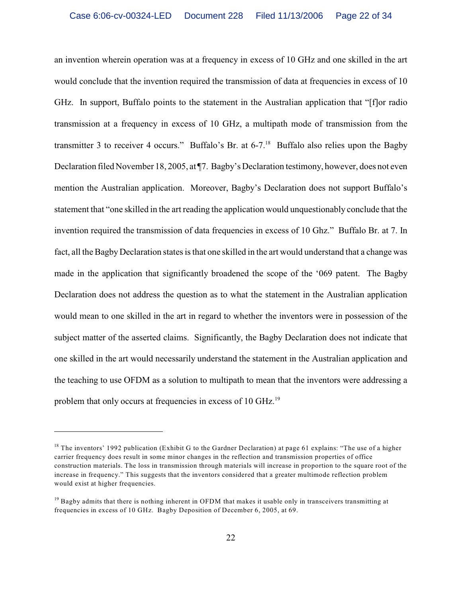an invention wherein operation was at a frequency in excess of 10 GHz and one skilled in the art would conclude that the invention required the transmission of data at frequencies in excess of 10 GHz. In support, Buffalo points to the statement in the Australian application that "[f]or radio transmission at a frequency in excess of 10 GHz, a multipath mode of transmission from the transmitter 3 to receiver 4 occurs." Buffalo's Br. at  $6-7$ .<sup>18</sup> Buffalo also relies upon the Bagby Declaration filed November 18, 2005, at ¶7. Bagby's Declaration testimony, however, does not even mention the Australian application. Moreover, Bagby's Declaration does not support Buffalo's statement that "one skilled in the art reading the application would unquestionably conclude that the invention required the transmission of data frequencies in excess of 10 Ghz." Buffalo Br. at 7. In fact, all the Bagby Declaration states is that one skilled in the art would understand that a change was made in the application that significantly broadened the scope of the '069 patent. The Bagby Declaration does not address the question as to what the statement in the Australian application would mean to one skilled in the art in regard to whether the inventors were in possession of the subject matter of the asserted claims. Significantly, the Bagby Declaration does not indicate that one skilled in the art would necessarily understand the statement in the Australian application and the teaching to use OFDM as a solution to multipath to mean that the inventors were addressing a problem that only occurs at frequencies in excess of 10 GHz.<sup>19</sup>

<sup>&</sup>lt;sup>18</sup> The inventors' 1992 publication (Exhibit G to the Gardner Declaration) at page 61 explains: "The use of a higher carrier frequency does result in some minor changes in the reflection and transmission properties of office construction materials. The loss in transmission through materials will increase in proportion to the square root of the increase in frequency." This suggests that the inventors considered that a greater multimode reflection problem would exist at higher frequencies.

 $<sup>19</sup>$  Bagby admits that there is nothing inherent in OFDM that makes it usable only in transceivers transmitting at</sup> frequencies in excess of 10 GHz. Bagby Deposition of December 6, 2005, at 69.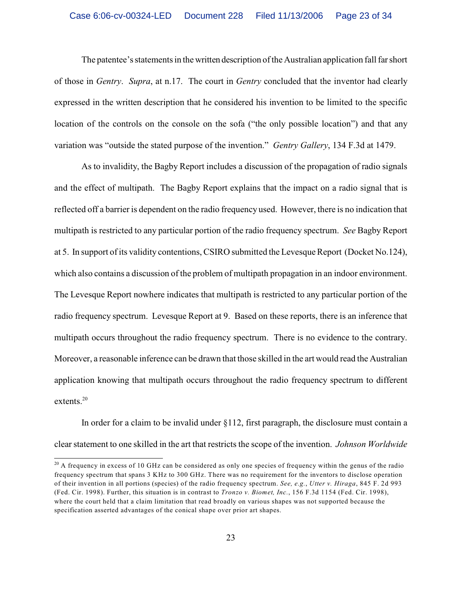The patentee's statements in the written description of the Australian application fall far short of those in *Gentry*. *Supra*, at n.17. The court in *Gentry* concluded that the inventor had clearly expressed in the written description that he considered his invention to be limited to the specific location of the controls on the console on the sofa ("the only possible location") and that any variation was "outside the stated purpose of the invention." *Gentry Gallery*, 134 F.3d at 1479.

As to invalidity, the Bagby Report includes a discussion of the propagation of radio signals and the effect of multipath. The Bagby Report explains that the impact on a radio signal that is reflected off a barrier is dependent on the radio frequency used. However, there is no indication that multipath is restricted to any particular portion of the radio frequency spectrum. *See* Bagby Report at 5. In support of its validity contentions, CSIRO submitted the Levesque Report (Docket No.124), which also contains a discussion of the problem of multipath propagation in an indoor environment. The Levesque Report nowhere indicates that multipath is restricted to any particular portion of the radio frequency spectrum. Levesque Report at 9. Based on these reports, there is an inference that multipath occurs throughout the radio frequency spectrum. There is no evidence to the contrary. Moreover, a reasonable inference can be drawn that those skilled in the art would read the Australian application knowing that multipath occurs throughout the radio frequency spectrum to different extents.<sup>20</sup>

In order for a claim to be invalid under §112, first paragraph, the disclosure must contain a clear statement to one skilled in the art that restricts the scope of the invention. *Johnson Worldwide*

 $20$  A frequency in excess of 10 GHz can be considered as only one species of frequency within the genus of the radio frequency spectrum that spans 3 KHz to 300 GHz. There was no requirement for the inventors to disclose operation of their invention in all portions (species) of the radio frequency spectrum. *See, e.g.*, *Utter v. Hiraga*, 845 F. 2d 993 (Fed. Cir. 1998). Further, this situation is in contrast to *Tronzo v. Biomet, Inc.*, 156 F.3d 1154 (Fed. Cir. 1998), where the court held that a claim limitation that read broadly on various shapes was not supported because the specification asserted advantages of the conical shape over prior art shapes.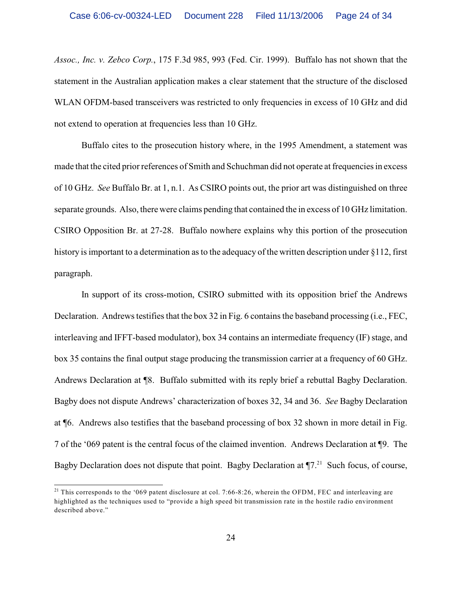*Assoc., Inc. v. Zebco Corp.*, 175 F.3d 985, 993 (Fed. Cir. 1999). Buffalo has not shown that the statement in the Australian application makes a clear statement that the structure of the disclosed WLAN OFDM-based transceivers was restricted to only frequencies in excess of 10 GHz and did not extend to operation at frequencies less than 10 GHz.

Buffalo cites to the prosecution history where, in the 1995 Amendment, a statement was made that the cited prior references of Smith and Schuchman did not operate at frequencies in excess of 10 GHz. *See* Buffalo Br. at 1, n.1. As CSIRO points out, the prior art was distinguished on three separate grounds. Also, there were claims pending that contained the in excess of 10 GHz limitation. CSIRO Opposition Br. at 27-28. Buffalo nowhere explains why this portion of the prosecution history is important to a determination as to the adequacy of the written description under §112, first paragraph.

In support of its cross-motion, CSIRO submitted with its opposition brief the Andrews Declaration. Andrews testifies that the box 32 in Fig. 6 contains the baseband processing (i.e., FEC, interleaving and IFFT-based modulator), box 34 contains an intermediate frequency (IF) stage, and box 35 contains the final output stage producing the transmission carrier at a frequency of 60 GHz. Andrews Declaration at ¶8. Buffalo submitted with its reply brief a rebuttal Bagby Declaration. Bagby does not dispute Andrews' characterization of boxes 32, 34 and 36. *See* Bagby Declaration at ¶6. Andrews also testifies that the baseband processing of box 32 shown in more detail in Fig. 7 of the '069 patent is the central focus of the claimed invention. Andrews Declaration at ¶9. The Bagby Declaration does not dispute that point. Bagby Declaration at  $\P$ 7.<sup>21</sup> Such focus, of course,

<sup>&</sup>lt;sup>21</sup> This corresponds to the '069 patent disclosure at col. 7:66-8:26, wherein the OFDM, FEC and interleaving are highlighted as the techniques used to "provide a high speed bit transmission rate in the hostile radio environment described above."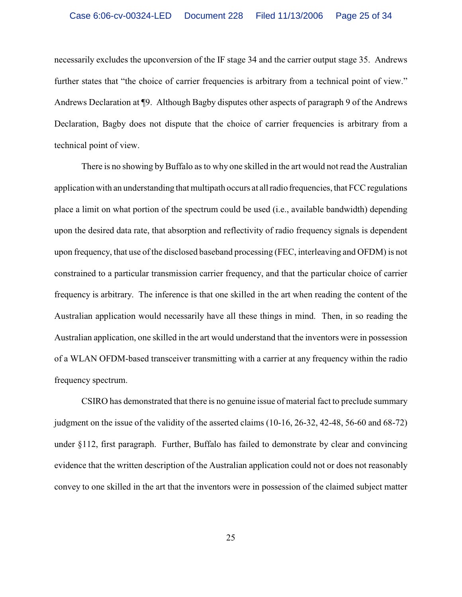necessarily excludes the upconversion of the IF stage 34 and the carrier output stage 35. Andrews further states that "the choice of carrier frequencies is arbitrary from a technical point of view." Andrews Declaration at ¶9. Although Bagby disputes other aspects of paragraph 9 of the Andrews Declaration, Bagby does not dispute that the choice of carrier frequencies is arbitrary from a technical point of view.

There is no showing by Buffalo as to why one skilled in the art would not read the Australian application with an understanding that multipath occurs at all radio frequencies, that FCC regulations place a limit on what portion of the spectrum could be used (i.e., available bandwidth) depending upon the desired data rate, that absorption and reflectivity of radio frequency signals is dependent upon frequency, that use of the disclosed baseband processing (FEC, interleaving and OFDM) is not constrained to a particular transmission carrier frequency, and that the particular choice of carrier frequency is arbitrary. The inference is that one skilled in the art when reading the content of the Australian application would necessarily have all these things in mind. Then, in so reading the Australian application, one skilled in the art would understand that the inventors were in possession of a WLAN OFDM-based transceiver transmitting with a carrier at any frequency within the radio frequency spectrum.

CSIRO has demonstrated that there is no genuine issue of material fact to preclude summary judgment on the issue of the validity of the asserted claims (10-16, 26-32, 42-48, 56-60 and 68-72) under §112, first paragraph. Further, Buffalo has failed to demonstrate by clear and convincing evidence that the written description of the Australian application could not or does not reasonably convey to one skilled in the art that the inventors were in possession of the claimed subject matter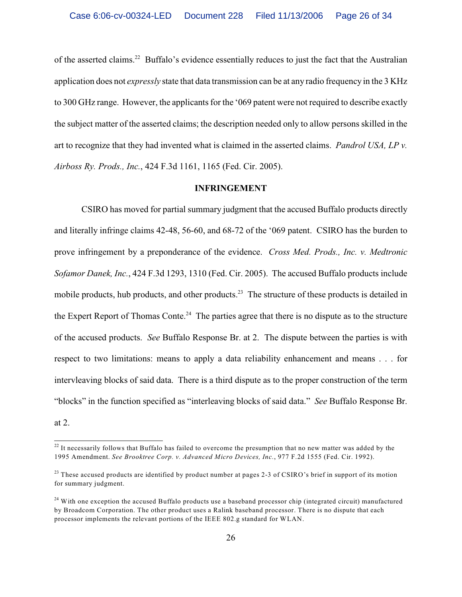of the asserted claims.<sup>22</sup> Buffalo's evidence essentially reduces to just the fact that the Australian application does not *expressly* state that data transmission can be at any radio frequency in the 3 KHz to 300 GHz range. However, the applicants for the '069 patent were not required to describe exactly the subject matter of the asserted claims; the description needed only to allow persons skilled in the art to recognize that they had invented what is claimed in the asserted claims. *Pandrol USA, LP v. Airboss Ry. Prods., Inc.*, 424 F.3d 1161, 1165 (Fed. Cir. 2005).

## **INFRINGEMENT**

CSIRO has moved for partial summary judgment that the accused Buffalo products directly and literally infringe claims 42-48, 56-60, and 68-72 of the '069 patent. CSIRO has the burden to prove infringement by a preponderance of the evidence. *Cross Med. Prods., Inc. v. Medtronic Sofamor Danek, Inc.*, 424 F.3d 1293, 1310 (Fed. Cir. 2005). The accused Buffalo products include mobile products, hub products, and other products.<sup>23</sup> The structure of these products is detailed in the Expert Report of Thomas Conte.<sup>24</sup> The parties agree that there is no dispute as to the structure of the accused products. *See* Buffalo Response Br. at 2. The dispute between the parties is with respect to two limitations: means to apply a data reliability enhancement and means . . . for intervleaving blocks of said data. There is a third dispute as to the proper construction of the term "blocks" in the function specified as "interleaving blocks of said data." *See* Buffalo Response Br. at 2.

 $22$  It necessarily follows that Buffalo has failed to overcome the presumption that no new matter was added by the 1995 Amendment. *See Brooktree Corp. v. Advanced Micro Devices, Inc.*, 977 F.2d 1555 (Fed. Cir. 1992).

<sup>&</sup>lt;sup>23</sup> These accused products are identified by product number at pages 2-3 of CSIRO's brief in support of its motion for summary judgment.

<sup>&</sup>lt;sup>24</sup> With one exception the accused Buffalo products use a baseband processor chip (integrated circuit) manufactured by Broadcom Corporation. The other product uses a Ralink baseband processor. There is no dispute that each processor implements the relevant portions of the IEEE 802.g standard for WLAN.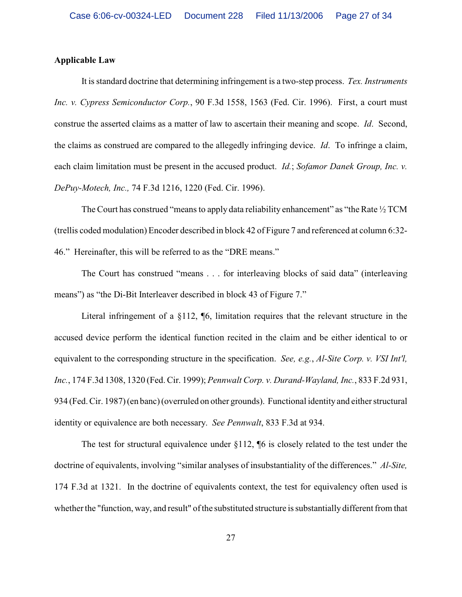## **Applicable Law**

It is standard doctrine that determining infringement is a two-step process. *Tex. Instruments Inc. v. Cypress Semiconductor Corp.*, 90 F.3d 1558, 1563 (Fed. Cir. 1996). First, a court must construe the asserted claims as a matter of law to ascertain their meaning and scope. *Id*. Second, the claims as construed are compared to the allegedly infringing device. *Id*. To infringe a claim, each claim limitation must be present in the accused product. *Id.*; *Sofamor Danek Group, Inc. v. DePuy-Motech, Inc.,* 74 F.3d 1216, 1220 (Fed. Cir. 1996).

The Court has construed "means to apply data reliability enhancement" as "the Rate  $\frac{1}{2}$  TCM (trellis coded modulation) Encoder described in block 42 of Figure 7 and referenced at column 6:32- 46." Hereinafter, this will be referred to as the "DRE means."

The Court has construed "means . . . for interleaving blocks of said data" (interleaving means") as "the Di-Bit Interleaver described in block 43 of Figure 7."

Literal infringement of a  $\S112$ ,  $\P6$ , limitation requires that the relevant structure in the accused device perform the identical function recited in the claim and be either identical to or equivalent to the corresponding structure in the specification. *See, e.g.*, *Al-Site Corp. v. VSI Int'l, Inc.*, 174 F.3d 1308, 1320 (Fed. Cir. 1999); *Pennwalt Corp. v. Durand-Wayland, Inc.*, 833 F.2d 931, 934 (Fed. Cir. 1987)(en banc)(overruled on other grounds). Functional identity and either structural identity or equivalence are both necessary. *See Pennwalt*, 833 F.3d at 934.

The test for structural equivalence under §112, ¶6 is closely related to the test under the doctrine of equivalents, involving "similar analyses of insubstantiality of the differences." *Al-Site,* 174 F.3d at 1321. In the doctrine of equivalents context, the test for equivalency often used is whether the "function, way, and result" of the substituted structure is substantially different from that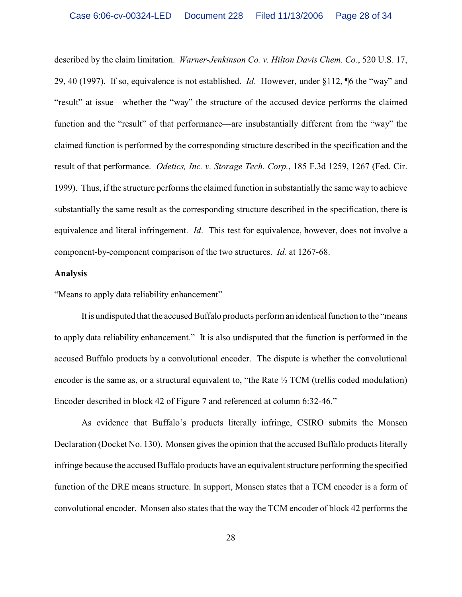described by the claim limitation. *Warner-Jenkinson Co. v. Hilton Davis Chem. Co.*, 520 U.S. 17, 29, 40 (1997). If so, equivalence is not established. *Id*. However, under §112, ¶6 the "way" and "result" at issue—whether the "way" the structure of the accused device performs the claimed function and the "result" of that performance—are insubstantially different from the "way" the claimed function is performed by the corresponding structure described in the specification and the result of that performance. *Odetics, Inc. v. Storage Tech. Corp.*, 185 F.3d 1259, 1267 (Fed. Cir. 1999). Thus, if the structure performs the claimed function in substantially the same way to achieve substantially the same result as the corresponding structure described in the specification, there is equivalence and literal infringement. *Id*. This test for equivalence, however, does not involve a component-by-component comparison of the two structures. *Id.* at 1267-68.

## **Analysis**

## "Means to apply data reliability enhancement"

It is undisputed that the accused Buffalo products perform an identical function to the "means to apply data reliability enhancement." It is also undisputed that the function is performed in the accused Buffalo products by a convolutional encoder. The dispute is whether the convolutional encoder is the same as, or a structural equivalent to, "the Rate ½ TCM (trellis coded modulation) Encoder described in block 42 of Figure 7 and referenced at column 6:32-46."

As evidence that Buffalo's products literally infringe, CSIRO submits the Monsen Declaration (Docket No. 130). Monsen gives the opinion that the accused Buffalo products literally infringe because the accused Buffalo products have an equivalent structure performing the specified function of the DRE means structure. In support, Monsen states that a TCM encoder is a form of convolutional encoder. Monsen also states that the way the TCM encoder of block 42 performs the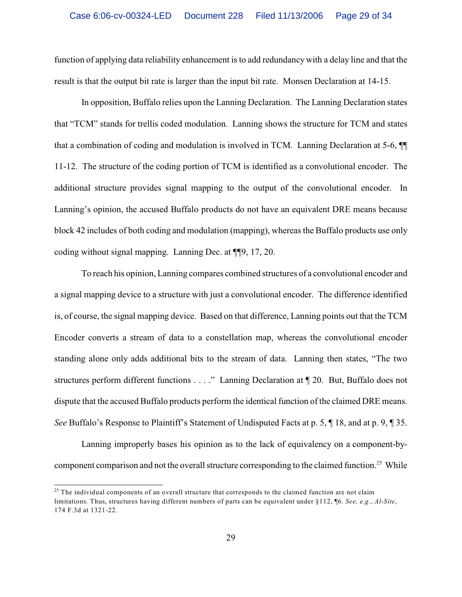function of applying data reliability enhancement is to add redundancy with a delay line and that the result is that the output bit rate is larger than the input bit rate. Monsen Declaration at 14-15.

In opposition, Buffalo relies upon the Lanning Declaration. The Lanning Declaration states that "TCM" stands for trellis coded modulation. Lanning shows the structure for TCM and states that a combination of coding and modulation is involved in TCM. Lanning Declaration at 5-6, ¶¶ 11-12. The structure of the coding portion of TCM is identified as a convolutional encoder. The additional structure provides signal mapping to the output of the convolutional encoder. In Lanning's opinion, the accused Buffalo products do not have an equivalent DRE means because block 42 includes of both coding and modulation (mapping), whereas the Buffalo products use only coding without signal mapping. Lanning Dec. at ¶¶9, 17, 20.

To reach his opinion, Lanning compares combined structures of a convolutional encoder and a signal mapping device to a structure with just a convolutional encoder. The difference identified is, of course, the signal mapping device. Based on that difference, Lanning points out that the TCM Encoder converts a stream of data to a constellation map, whereas the convolutional encoder standing alone only adds additional bits to the stream of data. Lanning then states, "The two structures perform different functions . . . ." Lanning Declaration at ¶ 20. But, Buffalo does not dispute that the accused Buffalo products perform the identical function of the claimed DRE means. *See* Buffalo's Response to Plaintiff's Statement of Undisputed Facts at p. 5, ¶ 18, and at p. 9, ¶ 35.

Lanning improperly bases his opinion as to the lack of equivalency on a component-bycomponent comparison and not the overall structure corresponding to the claimed function.<sup>25</sup> While

 $25$  The individual components of an overall structure that corresponds to the claimed function are not claim limitations. Thus, structures having different numbers of parts can be equivalent under §112, ¶6. *See, e.g.*, *Al-Site*, 174 F.3d at 1321-22.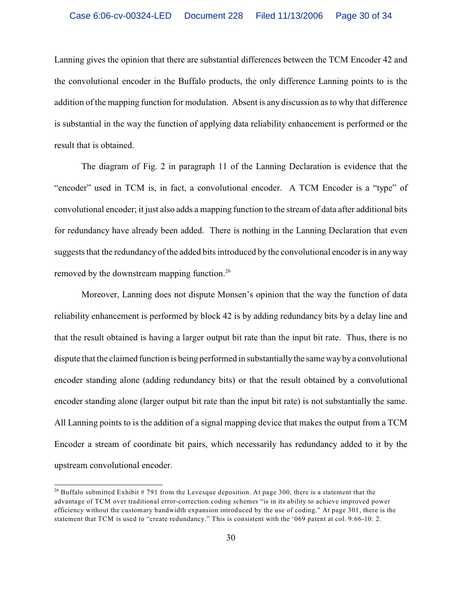Lanning gives the opinion that there are substantial differences between the TCM Encoder 42 and the convolutional encoder in the Buffalo products, the only difference Lanning points to is the addition of the mapping function for modulation. Absent is any discussion as to why that difference is substantial in the way the function of applying data reliability enhancement is performed or the result that is obtained.

The diagram of Fig. 2 in paragraph 11 of the Lanning Declaration is evidence that the "encoder" used in TCM is, in fact, a convolutional encoder. A TCM Encoder is a "type" of convolutional encoder; it just also adds a mapping function to the stream of data after additional bits for redundancy have already been added. There is nothing in the Lanning Declaration that even suggests that the redundancy of the added bits introduced by the convolutional encoder is in any way removed by the downstream mapping function.<sup>26</sup>

Moreover, Lanning does not dispute Monsen's opinion that the way the function of data reliability enhancement is performed by block 42 is by adding redundancy bits by a delay line and that the result obtained is having a larger output bit rate than the input bit rate. Thus, there is no dispute that the claimed function is being performed in substantially the same way by a convolutional encoder standing alone (adding redundancy bits) or that the result obtained by a convolutional encoder standing alone (larger output bit rate than the input bit rate) is not substantially the same. All Lanning points to is the addition of a signal mapping device that makes the output from a TCM Encoder a stream of coordinate bit pairs, which necessarily has redundancy added to it by the upstream convolutional encoder.

<sup>&</sup>lt;sup>26</sup> Buffalo submitted Exhibit # 791 from the Levesque deposition. At page 300, there is a statement that the advantage of TCM over traditional error-correction coding schemes "is in its ability to achieve improved power efficiency without the customary bandwidth expansion introduced by the use of coding." At page 301, there is the statement that TCM is used to "create redundancy." This is consistent with the '069 patent at col. 9:66-10: 2.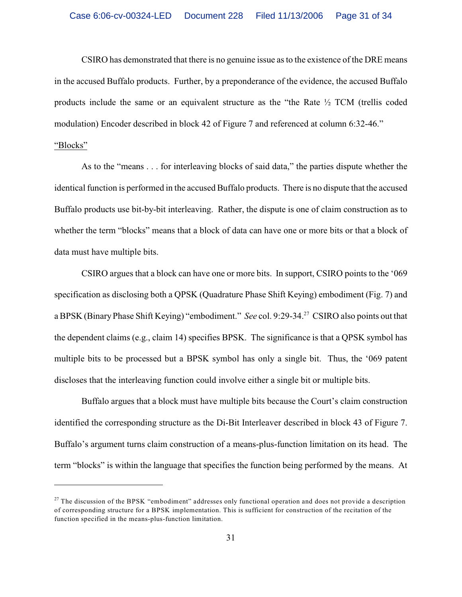CSIRO has demonstrated that there is no genuine issue as to the existence of the DRE means in the accused Buffalo products. Further, by a preponderance of the evidence, the accused Buffalo products include the same or an equivalent structure as the "the Rate ½ TCM (trellis coded modulation) Encoder described in block 42 of Figure 7 and referenced at column 6:32-46."

# "Blocks"

As to the "means . . . for interleaving blocks of said data," the parties dispute whether the identical function is performed in the accused Buffalo products. There is no dispute that the accused Buffalo products use bit-by-bit interleaving. Rather, the dispute is one of claim construction as to whether the term "blocks" means that a block of data can have one or more bits or that a block of data must have multiple bits.

CSIRO argues that a block can have one or more bits. In support, CSIRO points to the '069 specification as disclosing both a QPSK (Quadrature Phase Shift Keying) embodiment (Fig. 7) and a BPSK (Binary Phase Shift Keying) "embodiment." *See* col. 9:29-34.<sup>27</sup> CSIRO also points out that the dependent claims (e.g., claim 14) specifies BPSK. The significance is that a QPSK symbol has multiple bits to be processed but a BPSK symbol has only a single bit. Thus, the '069 patent discloses that the interleaving function could involve either a single bit or multiple bits.

Buffalo argues that a block must have multiple bits because the Court's claim construction identified the corresponding structure as the Di-Bit Interleaver described in block 43 of Figure 7. Buffalo's argument turns claim construction of a means-plus-function limitation on its head. The term "blocks" is within the language that specifies the function being performed by the means. At

 $27$  The discussion of the BPSK "embodiment" addresses only functional operation and does not provide a description of corresponding structure for a BPSK implementation. This is sufficient for construction of the recitation of the function specified in the means-plus-function limitation.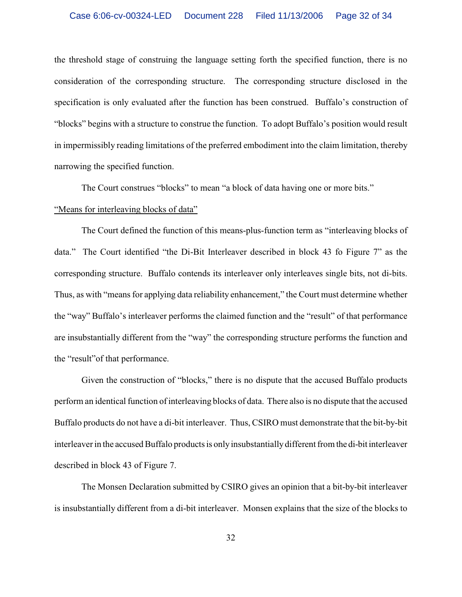the threshold stage of construing the language setting forth the specified function, there is no consideration of the corresponding structure. The corresponding structure disclosed in the specification is only evaluated after the function has been construed. Buffalo's construction of "blocks" begins with a structure to construe the function. To adopt Buffalo's position would result in impermissibly reading limitations of the preferred embodiment into the claim limitation, thereby narrowing the specified function.

The Court construes "blocks" to mean "a block of data having one or more bits."

## "Means for interleaving blocks of data"

The Court defined the function of this means-plus-function term as "interleaving blocks of data." The Court identified "the Di-Bit Interleaver described in block 43 fo Figure 7" as the corresponding structure. Buffalo contends its interleaver only interleaves single bits, not di-bits. Thus, as with "means for applying data reliability enhancement," the Court must determine whether the "way" Buffalo's interleaver performs the claimed function and the "result" of that performance are insubstantially different from the "way" the corresponding structure performs the function and the "result"of that performance.

Given the construction of "blocks," there is no dispute that the accused Buffalo products perform an identical function of interleaving blocks of data. There also is no dispute that the accused Buffalo products do not have a di-bit interleaver. Thus, CSIRO must demonstrate that the bit-by-bit interleaver in the accused Buffalo products is only insubstantially different from the di-bit interleaver described in block 43 of Figure 7.

The Monsen Declaration submitted by CSIRO gives an opinion that a bit-by-bit interleaver is insubstantially different from a di-bit interleaver. Monsen explains that the size of the blocks to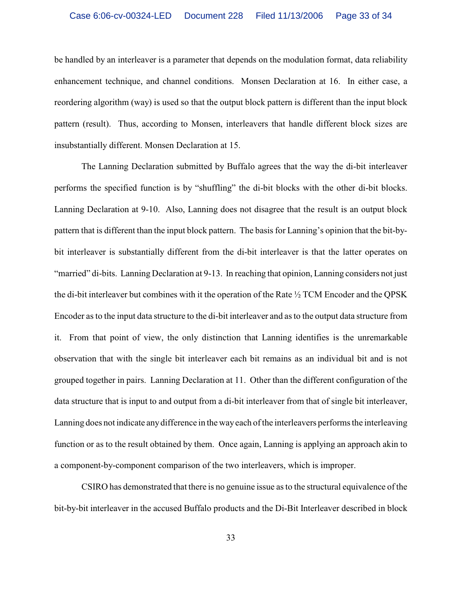be handled by an interleaver is a parameter that depends on the modulation format, data reliability enhancement technique, and channel conditions. Monsen Declaration at 16. In either case, a reordering algorithm (way) is used so that the output block pattern is different than the input block pattern (result). Thus, according to Monsen, interleavers that handle different block sizes are insubstantially different. Monsen Declaration at 15.

The Lanning Declaration submitted by Buffalo agrees that the way the di-bit interleaver performs the specified function is by "shuffling" the di-bit blocks with the other di-bit blocks. Lanning Declaration at 9-10. Also, Lanning does not disagree that the result is an output block pattern that is different than the input block pattern. The basis for Lanning's opinion that the bit-bybit interleaver is substantially different from the di-bit interleaver is that the latter operates on "married" di-bits. Lanning Declaration at 9-13. In reaching that opinion, Lanning considers not just the di-bit interleaver but combines with it the operation of the Rate ½ TCM Encoder and the QPSK Encoder as to the input data structure to the di-bit interleaver and as to the output data structure from it. From that point of view, the only distinction that Lanning identifies is the unremarkable observation that with the single bit interleaver each bit remains as an individual bit and is not grouped together in pairs. Lanning Declaration at 11. Other than the different configuration of the data structure that is input to and output from a di-bit interleaver from that of single bit interleaver, Lanning does not indicate any difference in the way each of the interleavers performs the interleaving function or as to the result obtained by them. Once again, Lanning is applying an approach akin to a component-by-component comparison of the two interleavers, which is improper.

CSIRO has demonstrated that there is no genuine issue as to the structural equivalence of the bit-by-bit interleaver in the accused Buffalo products and the Di-Bit Interleaver described in block